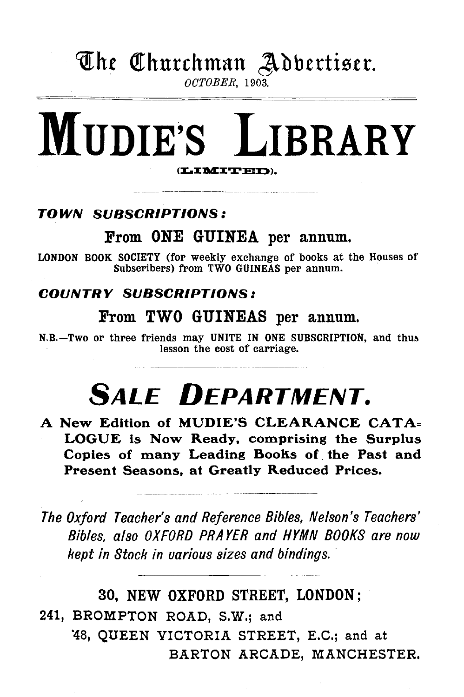## The Churchman Adbertiser.

*OCTOBER,* 1903.

# MUDIE'S LIBRARY

## TOWN SUBSCRIPTIONS:

## From ONE GUINEA per annum.

LONDON BOOK SOCIETY (for weekly exchange of books at the Houses of Subscribers) from TWO GUINEAS per annum.

### COUNTRY SUBSCRIPTIONS:

## From TWO GUINEAS per annum.

N.B.-Two or three friends may UNITE IN ONE SUBSCRIPTION, and thus lesson the cost of carriage.

# **SALE DEPARTMENT.**

A New Edition of MUDIE'S CLEARANCE CATA= LOGUE is Now Ready, comprising the Surplus Copies of many Leading Books of the Past and Present Seasons, at Greatly Reduced Prices.

*The Oxford Teacher's and Reference Bibles, Nelson's Teachers' Bibles, also OXFORD PRAYER and HYMN BOOKS are now kept in Stock in various sizes and bindings.* 

30, NEW OXFORD STREET, LONDON; 241, BROMPTON ROAD, S.W.; and "48, QUEEN VICTORIA STREET, E.C.; and at BARTON ARCADE, MANCHESTER.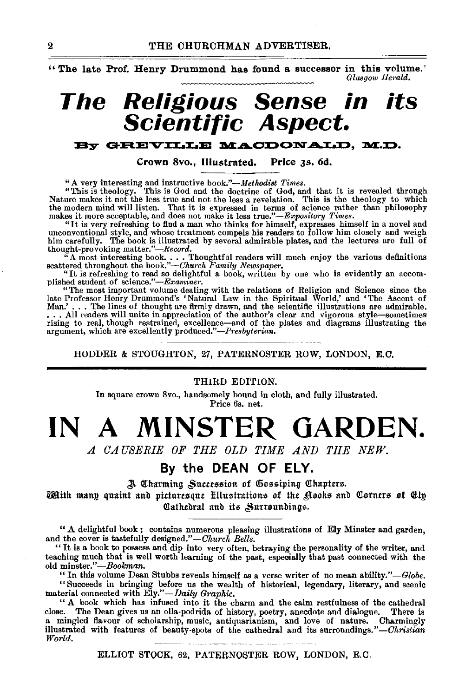"The late Prof. Henry Drummond has found a successor in this volume." *GlasgowHemld.* 

# THE CHURCHMAN ADVERTISER.<br>
The late Prof. Henry Drummond has found a successor in this volume.<sup>7</sup><br>
The Religious Sense in its **Scientific Aspect. its**

#### By GREVILLE MACDONALD, M.D.

Crown Svo., Illustrated. Price *as.* 6d,

"This is the<br>ology. This is sellogy interesting and instructive book,"—Methodist Times.<br>
"This is the cology to which<br>
Nature makes it not the less true and not the less a revelation. This is the theology to which<br>
the mo

"The most important volume dealing with the relations of Religion and Science since the late Professor Henry Drummond's 'Natural Law in the Spiritual World,' and 'The Ascent of Man.' ... The lines of thought are firmly drawn, and the scientific illustrations are admirable . . . . All readers will unite in appreciation of the author's clear and vigorous style-sometimes rising to real, though restrained, excellence—and of the plates and diagrams illustrating the<br>argument, which are excellently produced.''—*Presbyterian*.

HODDER & STOUGHTON, 27, PATERNOSTER ROW, LONDON, E.C.

#### THIRD EDITION.

In square crown 8vo., handsomely bound in cloth, and fully illustrated. Price 6s. net.

# **IN A MINSTER GARDEN.**

*A CAUSERIE OF THE OLD TIME AND THE NEW.* 

#### **By the DEAN OF ELY.**

A Charming Succession of Gossiping Chapters.

 $\widetilde{\text{cent}}$  many quaint and picturesque Hlustrations of the £tooks and Corners of Ely. Cathedral and its Surroundings.

" A delightful book ; contains numerous pleasing illustrations of Ely Minster and garden, and the cover is tastefully designed."-Church Bells.

"It is a book to possess and dip into very often, betraying the personality of the writer, and teaching much that is well worth learning of the past, especially that past connected with the old minster."-Bookman.

"In this volume Dean Stubbs reveals himself as a verse writer of no mean ability."-Globe. "Succeeds in bringing before us the wealth of historical, legendary, literary, and scenic material connected with *Ely."-Daily Gmphic.* 

" A book which has infused into it the charm and the calm restfulness of the cathedral close. The Dean gives us an olla-podrida of history, poetry, anecdote and dialogue. There is a mingled flavour of scholarship, music, antiquarianism, and love of nature. Charmingly illustrated with features of beauty -spots of the cathedral and its surroundings." *-Christian World.* 

ELLIOT STOCK, 62, PATERNOSTER ROW, LONDON, E.C.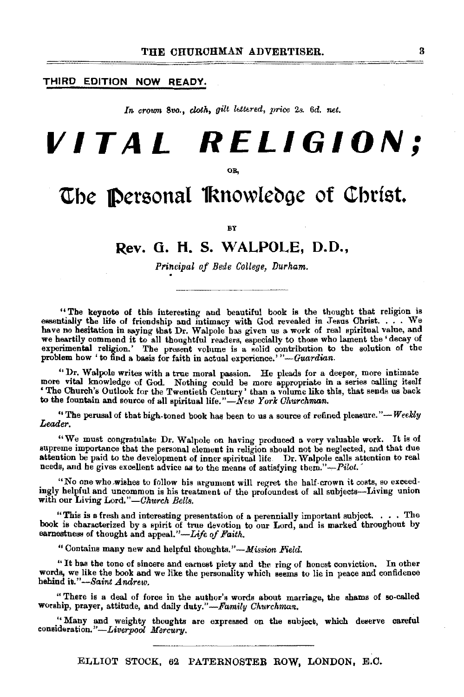#### THIRD EDITION **NOW READY.**

In crown 8vo., *cloth, gilt lettered, price 2s. 6d. net.* 

# **VITAL RELIGION;**

OB,

## **The Personal Knowledge of Christ.**

BY

#### **Rev. G. H. S. WALPOLE, D.O.,**

*Principal of Bede College, Durham .* .

"The keynote of this interesting and beautiful book is the thought that religion is essentially the life of friendship and intimacy with God revealed in Jesus Christ. . . . We have no hesitation in saying that Dr. Walpole has given us a work of real spiritual value, and we heartily commend it to all thoughtful readers, especially to those who lament the 'decay of experimental religion.' The present volume is a solid contribution to the solution of the problem how ' to find a basis for fa

"Dr. Walpole writes with a true moral passion. He pleads for a deeper, more intimate more vital knowledge of God. Nothing could he more &ppropriate in a series calling itself ' The Church's Outlook for the Twentieth Century' than a volume like this, that sends us back to the fountain and source of all spiritual life."- $\tilde{N}$ ew *York Churchman.* 

" The perusal of that high-toned book has been to us a source of refined pleasure." $-$  *Weekly Leader.* 

"We must congratulate Dr. Walpole on having produced a very valuable work. It is of supreme importance that the personal element in religion should not he neglected, and that due attention he paid to the development of inner spiritual life. Dr. Walpole calls attention to real needs, and he gives excellent advice as to the means of satisfying them." $-Pilot$ .

"No one who wishes to follow his argument will regret the half-crown it costs, so exceedingly helpful and uncommon is his treatment of the profoundest of all subjects-Living union with our Living Lord."-Church Bells.

"This is a fresh and interesting presentation of a perennially important subject. . . • The book is characterized by a spirit of true devotion to our Lord, and is marked throughout by earnestness of thought and appeal."-Life of Faith.

"Contains many new and helpful thoughts."-Mission *Field.* 

" It bas the tone of sincere and earnest piety and the ring of honest conviction. In other words, we like the book and we like the personality which seems to lie in peace and confidence behind *h."-Saint Andrew.* 

" There is a deal of force in the author's words about marriage, the shams of so-called worship, prayer, attitude, and daily *duty."-Family Okurchman.* 

" Many and weighty thoughts are expressed on the subject, which deserve careful consideration.'' *-Liverpool Mercury.* 

ELLIOT STOCK, 62 PATERNOSTER ROW, LONDON, E.C.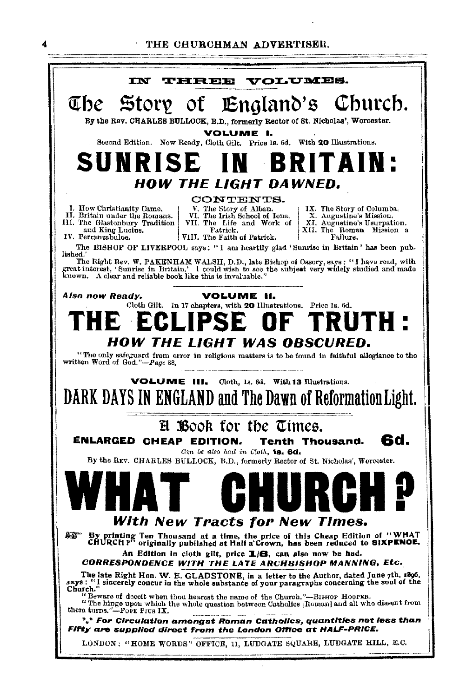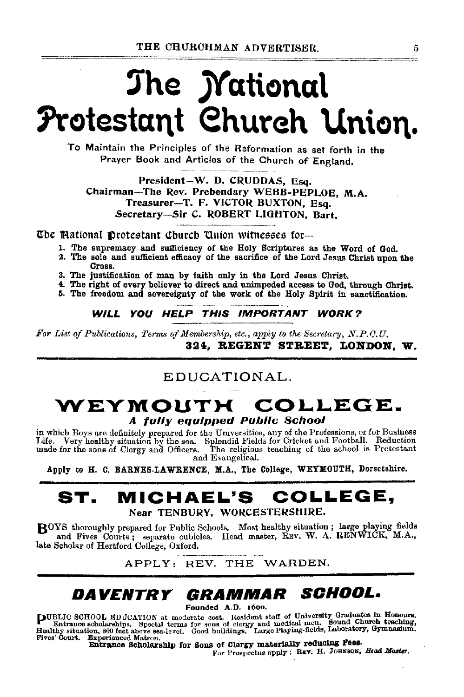# The *Mational* Protestant Church Union.

To Maintain the Principles of the Reformation as set forth in the Praver Book and Articles of the Church of England.

President-W. D. CRUDDAS, Esq. Chairman-The Rev. Prebendary WEBB-PEPLOE, M.A. Treasurer-T. F. VICTOR BUXTON, Esq. Secretary-Sir C. ROBERT LIGHTON. Bart.

The Mational Protestant Church Union witnesses for...

- 1. The supremacy and sufficiency of the Holy Scriptures as the Word of God.
- 2. The sole and sufficient efficacy of the sacrifice of the Lord Jesus Christ upon the Cross.
- 3. The justification of man by faith only in the Lord Jesus Christ.
- 4. The right of every believer to direct and unimpeded access to God, through Christ.
- 5. The freedom and sovereignty of the work of the Holy Spirit in sanctification.

WILL YOU HELP THIS IMPORTANT WORK?

For List of Publications, Terms of Membership, etc., apply to the Secretary, N.P.O.U. 324. REGENT STREET. LONDON. W.

### EDUCATIONAL.

## WEYMOUTH COLLEGE. A fully equipped Public School

in which Boys are definitely prepared for the Universities, any of the Professions, or for Business Life. Very healthy situation by the sea. Splendid Fields for Cricket and Football. Reduction<br>made for the sons of Clergy and Officers. The religious teaching of the school is Protestant and Evangelical.

Apply to H. C. BARNES-LAWRENCE, M.A., The College, WEYMOUTH, Dorsetshire.

#### MICHAEL'S COLLEGE. ST. Near TENBURY, WORCESTERSHIRE.

BOYS thoroughly prepared for Public Schools. Most healthy situation; large playing fields and Fives Courts; separate cubicles. Head master, REV. W. A. RENWICK, M.A., late Scholar of Hertford College, Oxford.

APPLY: REV. THE WARDEN.

## DAVENTRY GRAMMAR SCHOOL.

Founded A.D. 1600.

PUBLIC SCHOOL EDUCATION at moderate cost. Resident staff of University Graduates in Honours.<br>Entrance scholarships. Special terms for some of clergy and medical men. Bound Church teaching,<br>Healthy situation, 800 feet above Fives' Court. Experienced Matron.

Entrance Scholarship for Sons of Clergy materially reducing Fees. For Prospectus apply : REV. H. JOHNSON, Head Master.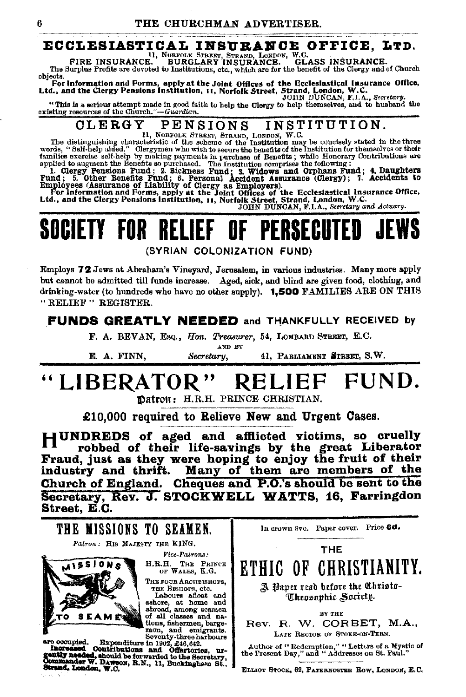#### ECCLESIASTICAL INSURANCE OFFICE. LTD.

II, NORFOLK STREET, STRAND, LONDON, W.C. FIRE INSURANCE. GLASS INSURANCE. The Surplus Profits are devoted to Institutions, etc., which are for the benefit of the Clergy and of Church objects.

boyes.<br>For information and Forms, apply at the Joint Offices of the Ecclesiastical Insurance Office,<br>Ltd., and the Clergy Pensions Institution, 11, Norfolk Street, JOHN DUNCAN, F.I.A., Secretary.

"This is a serious attempt made in good faith to help the Clergy to help themselves, and to huband the existing resources of the Church."-Guardian.

#### INSTITUTION. PENSIONS CLERGY

 $11$ , NORFOLK STREET, STRAKD, LORDON, W.C.<br>The distinguishing characteristic of the scheme of the Institution may be conclesly stated in the three words, "Self-help added." Clergymen who wish to secure the benefits of the

words, "Self-help aided." Clergymen who wish to secure the benefits of the Institution for themselves or their<br>amilies exercise self-help by making payments in purchase of Benefits; while Homotry Contributions are<br>applied

## SOCIFTY FOR RFLIFF PFRSFCIITED

(SYRIAN COLONIZATION FUND)

Employs 72 Jews at Abraham's Vineyard, Jerusalem, in various industries. Many more apply but cannot be admitted till funds increase. Aged, sick, and blind are given food, clothing, and drinking-water (to hundreds who have no other supply). 1,500 FAMILIES ARE ON THIS "RELIEF" REGISTER.

#### **FUNDS GREATLY NEEDED and THANKFULLY RECEIVED by**

F. A. BEVAN, Esq., Hon. Treasurer, 54, LOMBARD STREET, E.C.

AND BY 41. PABLIAMENT STREET, S.W. Secretary. E. A. FINN.

#### "LIBERATOR" FUND. **RELIEF**

Datron: H.R.H. PRINCE CHRISTIAN.

£10.000 required to Relieve New and Urgent Cases.

HUNDREDS of aged and afflicted victims, so cruelly robbed of their life-savings by the great Liberator Fraud, just as they were hoping to enjoy the fruit of their<br>industry and thrift. Many of them are members of the Church of England. Cheques and P.O.'s should be sent to the Secretary, Rev. J. STOCKWELL WATTS, 16, Farringdon Street, E.C.

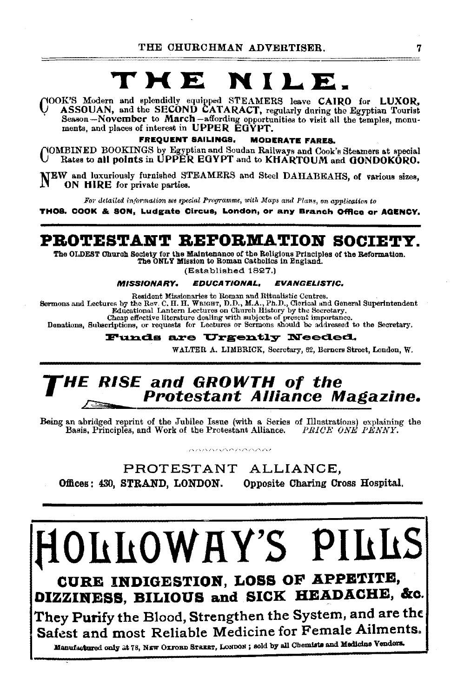#### T X E NILE.

NOOK'S Modern and splendidly equipped STEAMERS leave CAIRO for LUXOR,<br>ASSOUAN, and the SECOND CATARACT, regularly during the Egyptian Tourist Season-November to March-affording opportunities to visit all the temples, monuments, and places of interest in UPPER EGYPT.

> **FREQUENT SAILINGS, MODERATE FARES.**

YOMBINED BOOKINGS by Egyptian and Soudan Railways and Cook's Steamers at special Rates to all points in UPPER EGYPT and to KHARTOUM and GONDOKORO.

NEW and luxuriously furnished STEAMERS and Steel DAHABEAHS, of various sizes. ON HIRE for private parties.

For detailed information see special Programme, with Maps and Plans, on application to

THOS. COOK & SON, Ludgate Circus, London, or any Branch Office or AGENCY.

### PROTESTANT REFORMATION SOCIETY.

The OLDEST Church Society for the Maintenance of the Religious Principles of the Reformation. The ONLY Mission to Roman Catholics in England.

(Established 1827.)

#### **MISSIONARY. EDUCATIONAL, EVANGELISTIC.**

Resident Missionaries to Roman and Ritualistic Centres.

Sermons and Lectures by the Rev. C. H. H. WEIGHT, D.D., M.A., Ph.D., Clerical and General Superintendent Educational Lantern Lectures on Church History by the Secretary.

Cheap effective literature dealing with subjects of present importance.

Donations, Subscriptions, or requests for Lectures or Sermons should be addressed to the Secretary.

#### **Funds are Urgently Needed.**

WALTER A. LIMBRICK, Secretary, 62, Berners Street, London, W.

# HE RISE and GROWTH of the<br>Protestant Alliance Magazine.

Being an abridged reprint of the Jubilee Issue (with a Series of Illustrations) explaining the Basis, Principles, and Work of the Protestant Alliance. PRICE ONE PENNY. \*\*\*\*\*\*\*\*\*\*\*\*\*\*\*

PROTESTANT ALLIANCE. Offices: 430, STRAND, LONDON. Opposite Charing Cross Hospital.

# DILOWAY'S PILLS

CURE INDIGESTION, LOSS OF APPETITE, DIZZINESS, BILIOUS and SICK HEADACHE, &c.

They Purify the Blood, Strengthen the System, and are the  $\vert$ Safest and most Reliable Medicine for Female Ailments.

Manufactured only at 78, NEW OXFORD STREET, LONDON; sold by all Chemists and Medicine Vendors.